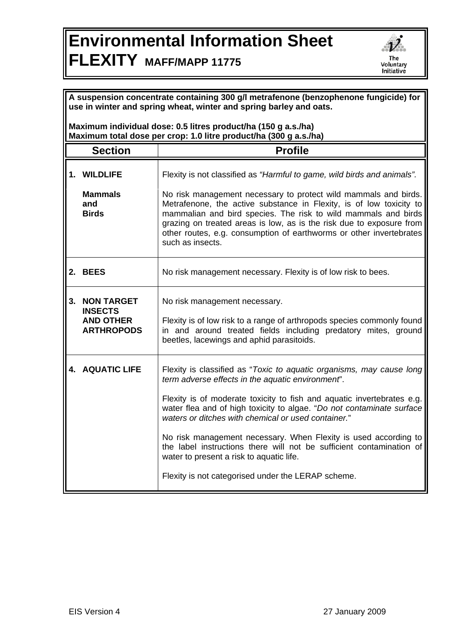## **Environmental Information Sheet FLEXITY MAFF/MAPP 11775**



| A suspension concentrate containing 300 g/l metrafenone (benzophenone fungicide) for<br>use in winter and spring wheat, winter and spring barley and oats. |                                                                                 |                                                                                                                                                                                                                                                                                                                                                                                                                                                                                                                                                                                  |  |
|------------------------------------------------------------------------------------------------------------------------------------------------------------|---------------------------------------------------------------------------------|----------------------------------------------------------------------------------------------------------------------------------------------------------------------------------------------------------------------------------------------------------------------------------------------------------------------------------------------------------------------------------------------------------------------------------------------------------------------------------------------------------------------------------------------------------------------------------|--|
| Maximum individual dose: 0.5 litres product/ha (150 g a.s./ha)<br>Maximum total dose per crop: 1.0 litre product/ha (300 g a.s./ha)                        |                                                                                 |                                                                                                                                                                                                                                                                                                                                                                                                                                                                                                                                                                                  |  |
|                                                                                                                                                            | <b>Section</b>                                                                  | <b>Profile</b>                                                                                                                                                                                                                                                                                                                                                                                                                                                                                                                                                                   |  |
|                                                                                                                                                            | 1. WILDLIFE                                                                     | Flexity is not classified as "Harmful to game, wild birds and animals".                                                                                                                                                                                                                                                                                                                                                                                                                                                                                                          |  |
|                                                                                                                                                            | <b>Mammals</b><br>and<br><b>Birds</b>                                           | No risk management necessary to protect wild mammals and birds.<br>Metrafenone, the active substance in Flexity, is of low toxicity to<br>mammalian and bird species. The risk to wild mammals and birds<br>grazing on treated areas is low, as is the risk due to exposure from<br>other routes, e.g. consumption of earthworms or other invertebrates<br>such as insects.                                                                                                                                                                                                      |  |
|                                                                                                                                                            | 2. BEES                                                                         | No risk management necessary. Flexity is of low risk to bees.                                                                                                                                                                                                                                                                                                                                                                                                                                                                                                                    |  |
|                                                                                                                                                            | <b>3. NON TARGET</b><br><b>INSECTS</b><br><b>AND OTHER</b><br><b>ARTHROPODS</b> | No risk management necessary.<br>Flexity is of low risk to a range of arthropods species commonly found<br>in and around treated fields including predatory mites, ground<br>beetles, lacewings and aphid parasitoids.                                                                                                                                                                                                                                                                                                                                                           |  |
|                                                                                                                                                            | <b>4. AQUATIC LIFE</b>                                                          | Flexity is classified as "Toxic to aquatic organisms, may cause long<br>term adverse effects in the aquatic environment".<br>Flexity is of moderate toxicity to fish and aquatic invertebrates e.g.<br>water flea and of high toxicity to algae. "Do not contaminate surface<br>waters or ditches with chemical or used container."<br>No risk management necessary. When Flexity is used according to<br>the label instructions there will not be sufficient contamination of<br>water to present a risk to aquatic life.<br>Flexity is not categorised under the LERAP scheme. |  |